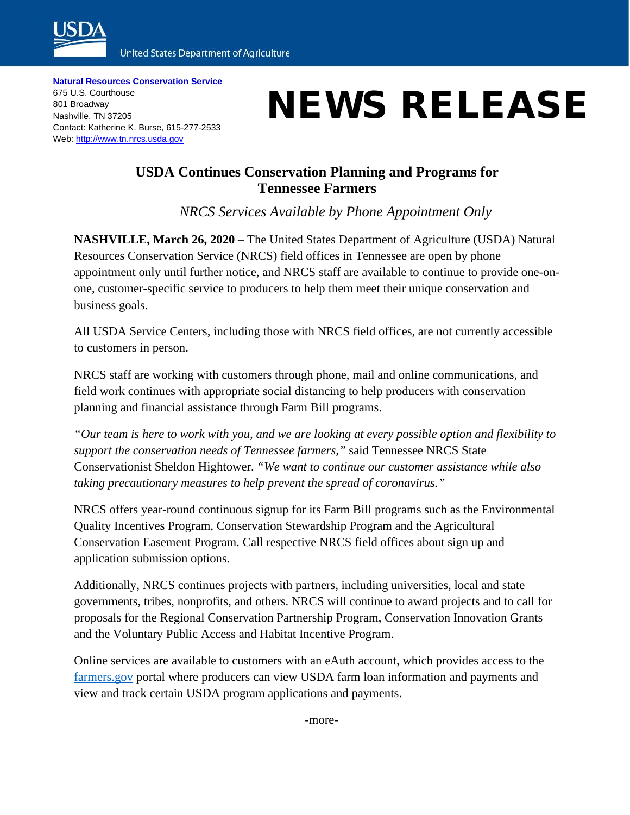

**United States Department of Agriculture** 

**Natural Resources Conservation Service** 675 U.S. Courthouse 801 Broadway Nashville, TN 37205 Contact: Katherine K. Burse, 615-277-2533 Web: [http://www.tn.nrcs.usda.gov](http://www.tn.nrcs.usda.gov/)

## NEWS RELEASE

## **USDA Continues Conservation Planning and Programs for Tennessee Farmers**

*NRCS Services Available by Phone Appointment Only*

**NASHVILLE, March 26, 2020** – The United States Department of Agriculture (USDA) Natural Resources Conservation Service (NRCS) field offices in Tennessee are open by phone appointment only until further notice, and NRCS staff are available to continue to provide one-onone, customer-specific service to producers to help them meet their unique conservation and business goals.

All USDA Service Centers, including those with NRCS field offices, are not currently accessible to customers in person.

NRCS staff are working with customers through phone, mail and online communications, and field work continues with appropriate social distancing to help producers with conservation planning and financial assistance through Farm Bill programs.

*"Our team is here to work with you, and we are looking at every possible option and flexibility to support the conservation needs of Tennessee farmers,"* said Tennessee NRCS State Conservationist Sheldon Hightower. *"We want to continue our customer assistance while also taking precautionary measures to help prevent the spread of coronavirus."*

NRCS offers year-round continuous signup for its Farm Bill programs such as the Environmental Quality Incentives Program, Conservation Stewardship Program and the Agricultural Conservation Easement Program. Call respective NRCS field offices about sign up and application submission options.

Additionally, NRCS continues projects with partners, including universities, local and state governments, tribes, nonprofits, and others. NRCS will continue to award projects and to call for proposals for the Regional Conservation Partnership Program, Conservation Innovation Grants and the Voluntary Public Access and Habitat Incentive Program.

Online services are available to customers with an eAuth account, which provides access to the [farmers.gov](http://www.farmers.gov/) portal where producers can view USDA farm loan information and payments and view and track certain USDA program applications and payments.